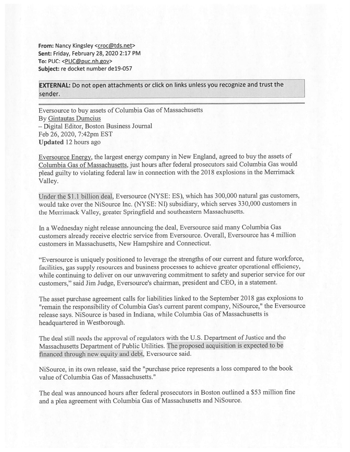From: Nancy Kingsley <croc@tds.net> Sent: Friday, February 28, 2020 2:17 PM To: PUC: <PUC@puc.nh.gov> Subject: re docket number de19-057

EXTERNAL: Do not open attachments or click on links unless you recognize and trust the sender.

Eversource to buy assets of Columbia Gas of Massachusetts By Gintautas Dumcius — Digital Editor, Boston Business Journal Feb 26, 2020, 7:42pm EST Updated 12 hours ago

Eversource Energy, the largest energy company in New England, agree<sup>d</sup> to buy the assets of Columbia Gas of Massachusetts, just hours after federal prosecutors said Columbia Gas would plead guilty to violating federal law in connection with the 2018 explosions in the Merrimack Valley.

Under the \$1.1 billion deal, Eversource (NYSE: ES), which has 300,000 natural gas customers, would take over the NiSource Inc. (NYSE: NI) subsidiary, which serves 330,000 customers in the Merrimack Valley, greater Springfield and southeastern Massachusetts.

In <sup>a</sup> Wednesday night release announcing the deal, Eversource said many Columbia Gas customers already receive electric service from Eversource. Overall, Eversource has <sup>4</sup> million customers in Massachusetts, New Hampshire and Connecticut.

"Eversource is uniquely positioned to leverage the strengths of our current and future workforce, facilities, gas supply resources and business processes to achieve greater operational efficiency, while continuing to deliver on our unwavering commitment to safety and superior service for our customers," said Jim Judge, Eversource's chairman, president and CEO, in <sup>a</sup> statement.

The asset purchase agreement calls for liabilities linked to the September 2018 gas explosions to "remain the responsibility of Columbia Gas's current paren<sup>t</sup> company, NiSource," the Eversource release says. NiSource is based in Indiana, while Columbia Gas of Massachusetts is headquartered in Westborough.

The deal still needs the approval of regulators with the U.S. Department of Justice and the Massachusetts Department of Public Utilities. The proposed acquisition is expected to be financed through new equity and debt, Eversource said.

NiSource, in its own release, said the "purchase price represents <sup>a</sup> loss compare<sup>d</sup> to the book value of Columbia Gas of Massachusetts."

The deal was announced hours after federal prosecutors in Boston outlined <sup>a</sup> \$53 million fine and <sup>a</sup> <sup>p</sup>lea agreemen<sup>t</sup> with Columbia Gas of Massachusetts and NiSource.